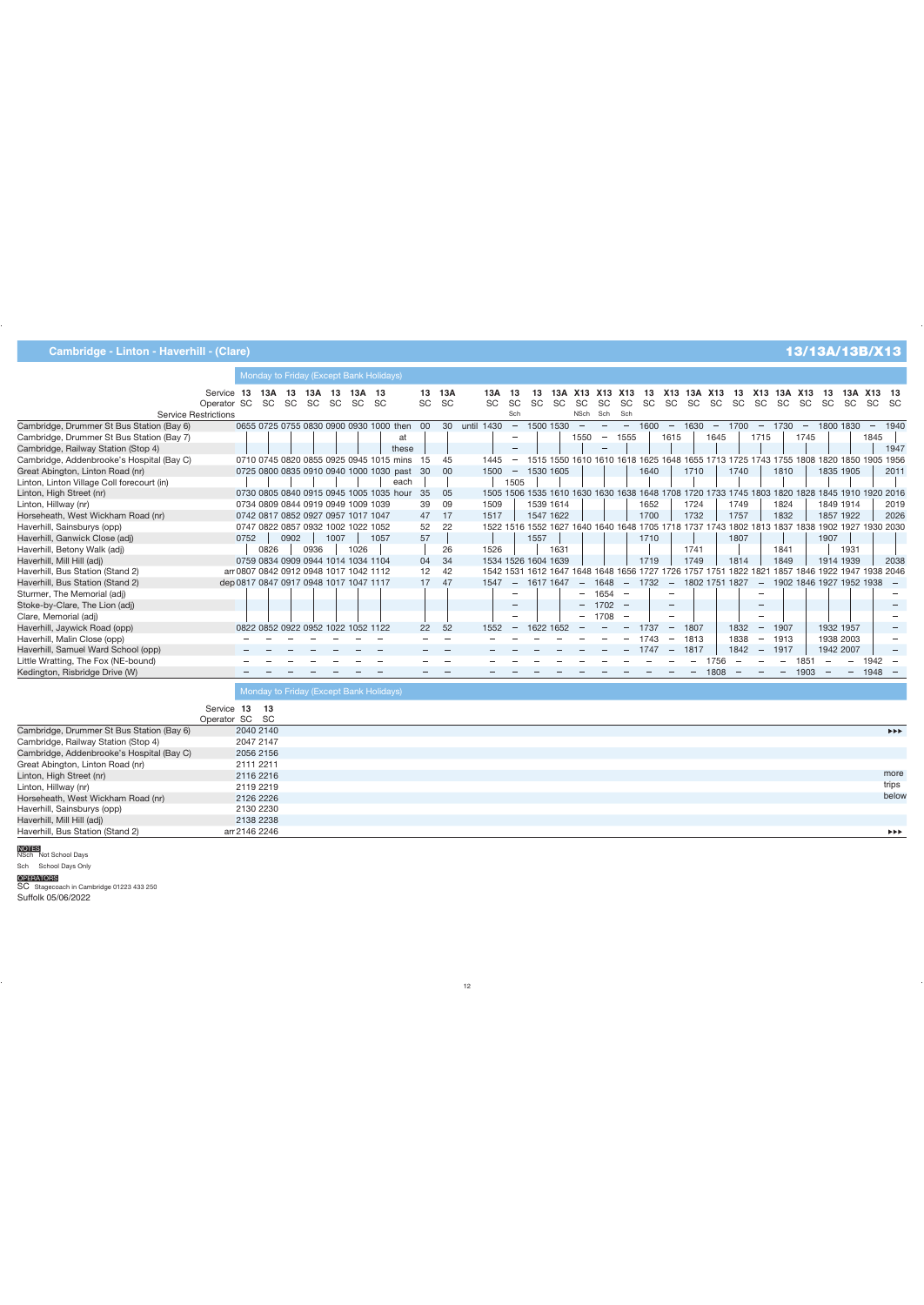|                                            |                             |      |      |      |      |           | Monday to Friday (Except Bank Holidays) |                                         |                   |     |                     |                                 |      |                                                                                                |                                 |                                 |                                 |           |                                 |                |      |      |                                 |                               |            |                          |                          |        |      |
|--------------------------------------------|-----------------------------|------|------|------|------|-----------|-----------------------------------------|-----------------------------------------|-------------------|-----|---------------------|---------------------------------|------|------------------------------------------------------------------------------------------------|---------------------------------|---------------------------------|---------------------------------|-----------|---------------------------------|----------------|------|------|---------------------------------|-------------------------------|------------|--------------------------|--------------------------|--------|------|
|                                            | Service 13                  |      | 13A  | 13   | 13A  | -13       | 13A                                     | - 13                                    | 13                | 13A | 13A                 |                                 |      | 13A                                                                                            | <b>X13</b>                      | X13 X13                         |                                 | 13        | <b>X13</b>                      | 13A X13        |      | 13   | <b>X13</b>                      | 13A                           | <b>X13</b> | 13                       | 13A                      | X13 13 |      |
|                                            | Operator SC                 |      | SC   | SC   | SC   | <b>SC</b> | <b>SC</b>                               | - SC                                    | SC                | SC  | <b>SC</b>           | <b>SC</b>                       | SC.  | <b>SC</b>                                                                                      | <b>SC</b>                       | <b>SC</b>                       | <b>SC</b>                       | <b>SC</b> | <b>SC</b>                       | SC.            | SC.  | SC.  | SC.                             | <b>SC</b>                     | SC.        | SC.                      | <b>SC</b>                | SC SC  |      |
|                                            | <b>Service Restrictions</b> |      |      |      |      |           |                                         |                                         |                   |     |                     | Sch                             |      |                                                                                                | <b>NSch</b>                     | Sch                             | Sch                             |           |                                 |                |      |      |                                 |                               |            |                          |                          |        |      |
| Cambridge, Drummer St Bus Station (Bay 6)  |                             |      |      |      |      |           |                                         | 0655 0725 0755 0830 0900 0930 1000 then | 00                | 30  | until 1430          |                                 |      | 1500 1530                                                                                      |                                 |                                 |                                 | 1600      | $\hspace{0.1mm}-\hspace{0.1mm}$ | 1630           |      | 1700 | $\hspace{0.1cm}$                | 1730                          |            | 1800 1830                |                          |        | 1940 |
| Cambridge, Drummer St Bus Station (Bay 7)  |                             |      |      |      |      |           |                                         | at                                      |                   |     |                     |                                 |      |                                                                                                | 1550                            | $\hspace{0.1mm}-\hspace{0.1mm}$ | 1555                            |           | 1615                            |                | 1645 |      | 1715                            |                               | 1745       |                          |                          | 1845   |      |
| Cambridge, Railway Station (Stop 4)        |                             |      |      |      |      |           |                                         | these                                   |                   |     |                     |                                 |      |                                                                                                |                                 |                                 |                                 |           |                                 |                |      |      |                                 |                               |            |                          |                          |        | 1947 |
| Cambridge, Addenbrooke's Hospital (Bay C)  |                             |      |      |      |      |           |                                         | 0710 0745 0820 0855 0925 0945 1015 mins | 15                | 45  | 1445                |                                 |      | 1515 1550 1610 1610 1618 1625 1648 1655 1713 1725 1743 1755 1808 1820 1850 1905 1956           |                                 |                                 |                                 |           |                                 |                |      |      |                                 |                               |            |                          |                          |        |      |
| Great Abington, Linton Road (nr)           |                             |      |      |      |      |           |                                         | 0725 0800 0835 0910 0940 1000 1030 past | -30               | 00  | 1500                |                                 |      | 1530 1605                                                                                      |                                 |                                 |                                 | 1640      |                                 | 1710           |      | 1740 |                                 | 1810                          |            | 1835 1905                |                          |        | 2011 |
| Linton, Linton Village Coll forecourt (in) |                             |      |      |      |      |           |                                         | each                                    |                   |     |                     | 1505                            |      |                                                                                                |                                 |                                 |                                 |           |                                 |                |      |      |                                 |                               |            |                          |                          |        |      |
| Linton, High Street (nr)                   |                             |      |      |      |      |           |                                         | 0730 0805 0840 0915 0945 1005 1035 hour | 35                | 05  |                     |                                 |      | 1505 1506 1535 1610 1630 1630 1638 1648 1708 1720 1733 1745 1803 1820 1828 1845 1910 1920 2016 |                                 |                                 |                                 |           |                                 |                |      |      |                                 |                               |            |                          |                          |        |      |
| Linton, Hillway (nr)                       |                             |      |      |      |      |           | 0734 0809 0844 0919 0949 1009 1039      |                                         | 39                | 09  | 1509                |                                 |      | 1539 1614                                                                                      |                                 |                                 |                                 | 1652      |                                 | 1724           |      | 1749 |                                 | 1824                          |            | 1849 1914                |                          |        | 2019 |
| Horseheath, West Wickham Road (nr)         |                             |      |      |      |      |           | 0742 0817 0852 0927 0957 1017 1047      |                                         | 47                | 17  | 1517                |                                 |      | 1547 1622                                                                                      |                                 |                                 |                                 | 1700      |                                 | 1732           |      | 1757 |                                 | 1832                          |            | 1857 1922                |                          |        | 2026 |
| Haverhill, Sainsburys (opp)                |                             |      |      |      |      |           | 0747 0822 0857 0932 1002 1022 1052      |                                         | 52                | 22  |                     |                                 |      | 1522 1516 1552 1627 1640 1640 1648 1705 1718 1737 1743 1802 1813 1837 1838 1902 1927 1930 2030 |                                 |                                 |                                 |           |                                 |                |      |      |                                 |                               |            |                          |                          |        |      |
| Haverhill, Ganwick Close (adj)             |                             | 0752 |      | 0902 |      | 1007      |                                         | 1057                                    | 57                |     |                     |                                 | 1557 |                                                                                                |                                 |                                 |                                 | 1710      |                                 |                |      | 1807 |                                 |                               |            | 1907                     |                          |        |      |
| Haverhill, Betony Walk (adj)               |                             |      | 0826 |      | 0936 |           | 1026                                    |                                         |                   | 26  | 1526                |                                 |      | 1631                                                                                           |                                 |                                 |                                 |           |                                 | 1741           |      |      |                                 | 1841                          |            |                          | 1931                     |        |      |
| Haverhill, Mill Hill (adj)                 |                             |      |      |      |      |           | 0759 0834 0909 0944 1014 1034 1104      |                                         | 04                | 34  | 1534 1526 1604 1639 |                                 |      |                                                                                                |                                 |                                 |                                 | 1719      |                                 | 1749           |      | 1814 |                                 | 1849                          |            | 1914 1939                |                          |        | 2038 |
| Haverhill, Bus Station (Stand 2)           |                             |      |      |      |      |           | arr 0807 0842 0912 0948 1017 1042 1112  |                                         | $12 \overline{ }$ | 42  |                     |                                 |      | 1542 1531 1612 1647 1648 1648 1656 1727 1726 1757 1751 1822 1821                               |                                 |                                 |                                 |           |                                 |                |      |      |                                 | 1857 1846 1922 1947 1938 2046 |            |                          |                          |        |      |
| Haverhill, Bus Station (Stand 2)           |                             |      |      |      |      |           | dep 0817 0847 0917 0948 1017 1047 1117  |                                         | 17                | 47  | 1547                | $\hspace{0.1mm}-\hspace{0.1mm}$ |      | 1617 1647                                                                                      | $\hspace{0.1mm}-\hspace{0.1mm}$ | 1648                            | $\overline{\phantom{m}}$        | 1732      | $\hspace{0.1mm}-\hspace{0.1mm}$ | 1802 1751 1827 |      |      | $\hspace{0.1mm}-\hspace{0.1mm}$ | 1902 1846 1927 1952 1938      |            |                          |                          |        |      |
| Sturmer, The Memorial (adj)                |                             |      |      |      |      |           |                                         |                                         |                   |     |                     |                                 |      |                                                                                                | $\overline{\phantom{m}}$        | 1654                            | $\hspace{0.1mm}-\hspace{0.1mm}$ |           |                                 |                |      |      |                                 |                               |            |                          |                          |        |      |
| Stoke-by-Clare, The Lion (adj)             |                             |      |      |      |      |           |                                         |                                         |                   |     |                     |                                 |      |                                                                                                | $\overline{\phantom{0}}$        | 1702                            | $\hspace{0.1mm}-\hspace{0.1mm}$ |           |                                 |                |      |      |                                 |                               |            |                          |                          |        |      |
| Clare, Memorial (adj)                      |                             |      |      |      |      |           |                                         |                                         |                   |     |                     |                                 |      |                                                                                                | $\overline{\phantom{m}}$        | 1708                            | $\hspace{0.1mm}-\hspace{0.1mm}$ |           |                                 |                |      |      |                                 |                               |            |                          |                          |        |      |
| Haverhill, Jaywick Road (opp)              |                             |      |      |      |      |           | 0822 0852 0922 0952 1022 1052 1122      |                                         | 22                | 52  | 1552                |                                 |      | 1622 1652                                                                                      |                                 |                                 |                                 | 1737      |                                 | 1807           |      | 1832 |                                 | 1907                          |            | 1932 1957                |                          |        |      |
| Haverhill, Malin Close (opp)               |                             |      |      |      |      |           |                                         |                                         |                   |     |                     |                                 |      |                                                                                                |                                 |                                 |                                 | 1743      | $\overline{\phantom{m}}$        | 1813           |      | 1838 | $\overline{\phantom{m}}$        | 1913                          |            | 1938 2003                |                          |        |      |
| Haverhill, Samuel Ward School (opp)        |                             |      |      |      |      |           |                                         |                                         |                   |     |                     |                                 |      |                                                                                                |                                 |                                 |                                 | 1747      | $\hspace{0.1mm}-\hspace{0.1mm}$ | 1817           |      | 1842 |                                 | 1917                          |            | 1942 2007                |                          |        |      |
| Little Wratting, The Fox (NE-bound)        |                             |      |      |      |      |           |                                         |                                         |                   |     |                     |                                 |      |                                                                                                |                                 |                                 |                                 |           |                                 |                | 1756 |      |                                 |                               | 1851       | $\overline{\phantom{m}}$ | $\overline{\phantom{m}}$ | 1942   |      |
| Kedington, Risbridge Drive (W)             |                             |      |      |      |      |           |                                         |                                         |                   |     |                     |                                 |      |                                                                                                |                                 |                                 |                                 |           |                                 |                | 1808 |      |                                 |                               | 1903       |                          |                          | 1948   |      |

# **Monday to Friday (Except Bank Holidays)**

|                                           | Service 13 13  |                                                             |
|-------------------------------------------|----------------|-------------------------------------------------------------|
|                                           | Operator SC SC |                                                             |
| Cambridge, Drummer St Bus Station (Bay 6) | 2040 2140      | $\blacktriangleright\blacktriangleright\blacktriangleright$ |
| Cambridge, Railway Station (Stop 4)       | 2047 2147      |                                                             |
| Cambridge, Addenbrooke's Hospital (Bay C) | 2056 2156      |                                                             |
| Great Abington, Linton Road (nr)          | 2111 2211      |                                                             |
| Linton, High Street (nr)                  | 2116 2216      | more                                                        |
| Linton, Hillway (nr)                      | 2119 2219      | trips                                                       |
| Horseheath, West Wickham Road (nr)        | 2126 2226      | below                                                       |
| Haverhill, Sainsburys (opp)               | 2130 2230      |                                                             |
| Haverhill, Mill Hill (adj)                | 2138 2238      |                                                             |
| Haverhill, Bus Station (Stand 2)          | arr 2146 2246  | <b>EEE</b>                                                  |

NOTES NSch Not School Days

Sch School Days Only

OPERATORS<br>SC Stagecoach in Cambridge 01223 433 250 Suffolk 05/06/2022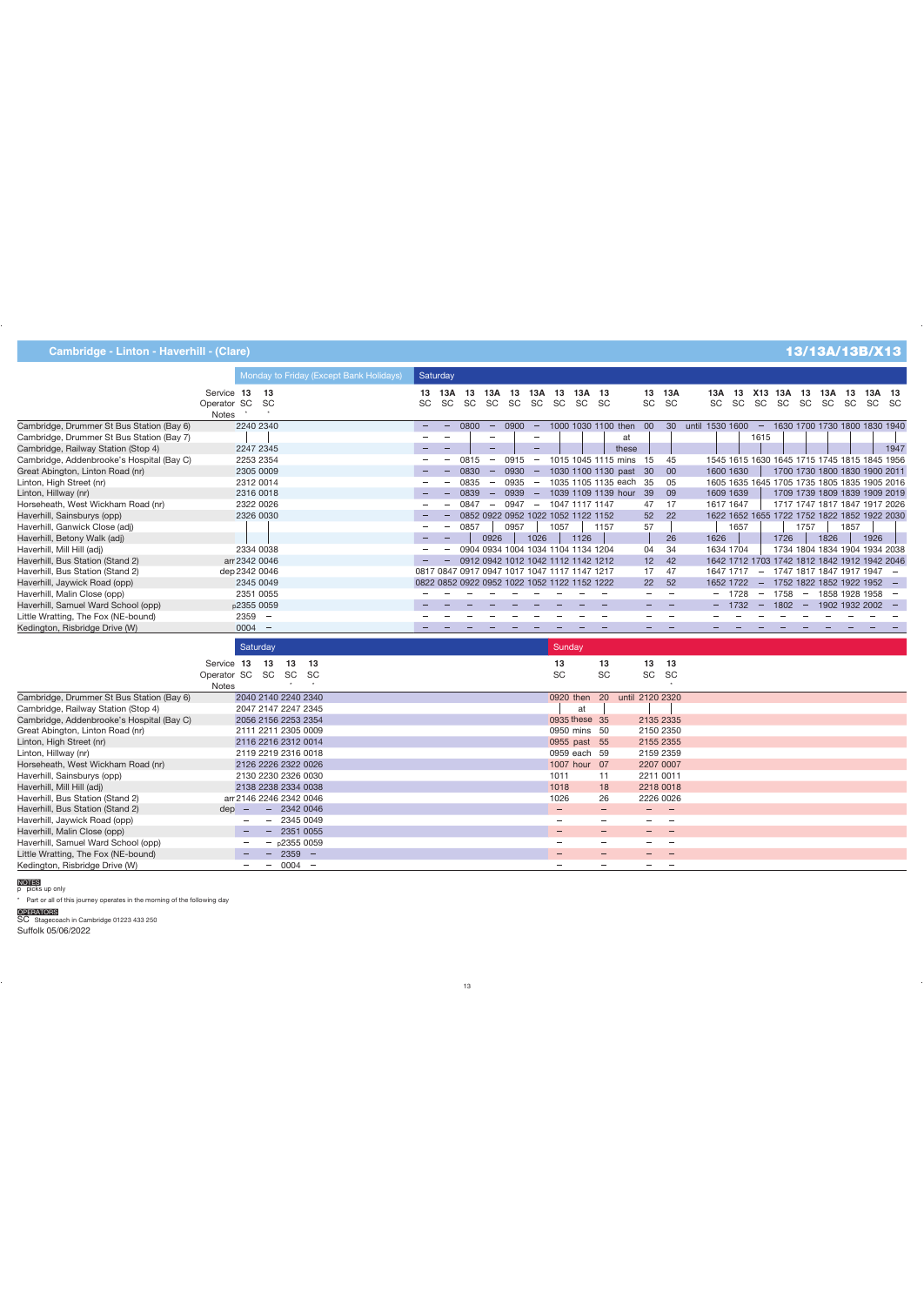|                                           |                                          |                                 |            | Monday to Friday (Except Bank Holidays) |                          | Saturday                        |      |                                 |      |      |                                              |      |                               |                                                                                                              |                          |           |           |                          |         |                                        |           |                    |      |                                              |
|-------------------------------------------|------------------------------------------|---------------------------------|------------|-----------------------------------------|--------------------------|---------------------------------|------|---------------------------------|------|------|----------------------------------------------|------|-------------------------------|--------------------------------------------------------------------------------------------------------------|--------------------------|-----------|-----------|--------------------------|---------|----------------------------------------|-----------|--------------------|------|----------------------------------------------|
|                                           | Service 13 13<br>Operator SC SC<br>Notes |                                 |            |                                         | SC                       | <b>SC</b>                       | SC   | SC                              | SC   |      | 13 13A 13 13A 13 13A 13 13A 13<br>SC SC SC   |      | - SC                          | 13 13A<br>SC SC                                                                                              |                          | SC.       | <b>SC</b> | SC                       | SC      | 13A 13 X13 13A 13 13A 13 13A 13<br>SC  | <b>SC</b> | <b>SC</b>          |      | SC SC                                        |
| Cambridge, Drummer St Bus Station (Bay 6) |                                          | 2240 2340                       |            |                                         | $\qquad \qquad -$        | $\hspace{0.1mm}-\hspace{0.1mm}$ | 0800 | $\overline{\phantom{a}}$        |      |      |                                              |      | 0900 - 1000 1030 1100 then 00 |                                                                                                              | 30 until 1530 1600       |           |           |                          |         |                                        |           |                    |      | $-$ 1630 1700 1730 1800 1830 1940            |
| Cambridge, Drummer St Bus Station (Bay 7) |                                          |                                 |            |                                         |                          | $\overline{\phantom{a}}$        |      |                                 |      |      |                                              |      | at                            |                                                                                                              |                          |           |           | 1615                     |         |                                        |           |                    |      |                                              |
| Cambridge, Railway Station (Stop 4)       |                                          | 2247 2345                       |            |                                         |                          |                                 |      |                                 |      |      |                                              |      | these                         |                                                                                                              |                          |           |           |                          |         |                                        |           |                    |      | 1947                                         |
| Cambridge, Addenbrooke's Hospital (Bay C) |                                          | 2253 2354                       |            |                                         |                          | $\overline{\phantom{m}}$        | 0815 | $-$                             | 0915 |      |                                              |      | $-$ 1015 1045 1115 mins 15    |                                                                                                              | 45                       |           |           |                          |         |                                        |           |                    |      | 1545 1615 1630 1645 1715 1745 1815 1845 1956 |
| Great Abington, Linton Road (nr)          |                                          | 2305 0009                       |            |                                         |                          |                                 | 0830 | $\hspace{0.1mm}-\hspace{0.1mm}$ |      |      |                                              |      | 0930 - 1030 1100 1130 past 30 |                                                                                                              | 00                       | 1600 1630 |           |                          |         |                                        |           |                    |      | 1700 1730 1800 1830 1900 2011                |
| Linton, High Street (nr)                  |                                          | 2312 0014                       |            |                                         |                          | $\hspace{0.1mm}-\hspace{0.1mm}$ | 0835 | $\overline{\phantom{m}}$        | 0935 |      |                                              |      | $-$ 1035 1105 1135 each 35    |                                                                                                              | 05                       |           |           |                          |         |                                        |           |                    |      | 1605 1635 1645 1705 1735 1805 1835 1905 2016 |
| Linton, Hillway (nr)                      |                                          | 2316 0018                       |            |                                         |                          |                                 | 0839 | $\overline{\phantom{m}}$        | 0939 |      |                                              |      | $-$ 1039 1109 1139 hour 39    |                                                                                                              | 09                       | 1609 1639 |           |                          |         |                                        |           |                    |      | 1709 1739 1809 1839 1909 2019                |
| Horseheath, West Wickham Road (nr)        |                                          | 2322 0026                       |            |                                         |                          | $\overline{\phantom{m}}$        | 0847 | $\overline{\phantom{m}}$        |      |      | $0947 - 1047$ 1117 1147                      |      |                               | 47                                                                                                           | -17                      | 1617 1647 |           |                          |         |                                        |           |                    |      | 1717 1747 1817 1847 1917 2026                |
| Haverhill, Sainsburys (opp)               |                                          | 2326 0030                       |            |                                         |                          |                                 |      |                                 |      |      | 0852 0922 0952 1022 1052 1122 1152           |      |                               | 52                                                                                                           | 22                       |           |           |                          |         |                                        |           |                    |      | 1622 1652 1655 1722 1752 1822 1852 1922 2030 |
| Haverhill, Ganwick Close (adj)            |                                          |                                 |            |                                         | $\overline{\phantom{m}}$ | $\overline{\phantom{m}}$        | 0857 |                                 | 0957 |      | 1057                                         |      | 1157                          | 57                                                                                                           |                          |           | 1657      |                          |         | 1757                                   |           | 1857               |      |                                              |
| Haverhill, Betony Walk (adj)              |                                          |                                 |            |                                         |                          |                                 |      | 0926                            |      | 1026 |                                              | 1126 |                               |                                                                                                              | 26                       | 1626      |           |                          | 1726    |                                        | 1826      |                    | 1926 |                                              |
| Haverhill, Mill Hill (adj)                |                                          | 2334 0038                       |            |                                         |                          | $\overline{\phantom{a}}$        |      |                                 |      |      | 0904 0934 1004 1034 1104 1134 1204           |      |                               | 04                                                                                                           | 34                       | 1634 1704 |           |                          |         |                                        |           |                    |      | 1734 1804 1834 1904 1934 2038                |
| Haverhill, Bus Station (Stand 2)          | arr 2342 0046                            |                                 |            |                                         |                          |                                 |      |                                 |      |      | 0912 0942 1012 1042 1112 1142 1212           |      |                               | 12                                                                                                           | 42                       |           |           |                          |         |                                        |           |                    |      | 1642 1712 1703 1742 1812 1842 1912 1942 2046 |
| Haverhill, Bus Station (Stand 2)          | dep 2342 0046                            |                                 |            |                                         |                          |                                 |      |                                 |      |      | 0817 0847 0917 0947 1017 1047 1117 1147 1217 |      |                               | 17                                                                                                           | 47                       |           |           |                          |         | 1647 1717 - 1747 1817 1847 1917 1947 - |           |                    |      |                                              |
| Haverhill, Jaywick Road (opp)             |                                          | 2345 0049                       |            |                                         |                          |                                 |      |                                 |      |      | 0822 0852 0922 0952 1022 1052 1122 1152 1222 |      |                               | 22                                                                                                           | 52                       | 1652 1722 |           |                          |         | $-$ 1752 1822 1852 1922 1952           |           |                    |      |                                              |
| Haverhill, Malin Close (opp)              |                                          | 2351 0055                       |            |                                         |                          |                                 |      |                                 |      |      |                                              |      |                               | $\overline{\phantom{m}}$                                                                                     | $\sim$                   | $-1728$   |           |                          | $-1758$ |                                        |           | $-$ 1858 1928 1958 |      | $\hspace{0.1mm}-\hspace{0.1mm}$              |
| Haverhill, Samuel Ward School (opp)       |                                          | p2355 0059                      |            |                                         |                          |                                 |      |                                 |      |      |                                              |      |                               |                                                                                                              |                          |           | 1732      | $\overline{\phantom{a}}$ |         | $1802 - 1902$ 1932 2002                |           |                    |      |                                              |
| Little Wratting, The Fox (NE-bound)       | 2359                                     | $\hspace{0.1mm}-\hspace{0.1mm}$ |            |                                         |                          |                                 |      |                                 |      |      |                                              |      |                               |                                                                                                              | $\overline{\phantom{a}}$ |           |           |                          |         |                                        |           |                    |      |                                              |
| Kedington, Risbridge Drive (W)            |                                          | $0004 -$                        |            |                                         |                          |                                 |      |                                 |      |      |                                              |      |                               |                                                                                                              |                          |           |           | $\sim$                   |         | $\sim$                                 |           |                    |      |                                              |
|                                           |                                          | Saturday                        |            |                                         |                          |                                 |      |                                 |      |      | Sunday                                       |      |                               |                                                                                                              |                          |           |           |                          |         |                                        |           |                    |      |                                              |
|                                           |                                          |                                 |            |                                         |                          |                                 |      |                                 |      |      |                                              |      |                               |                                                                                                              |                          |           |           |                          |         |                                        |           |                    |      |                                              |
|                                           | Service 13 13                            |                                 | 13         | - 13                                    |                          |                                 |      |                                 |      |      | 13                                           |      | 13                            | 13                                                                                                           | 13                       |           |           |                          |         |                                        |           |                    |      |                                              |
|                                           | Operator SC SC<br><b>Notes</b>           |                                 | SC SC      |                                         |                          |                                 |      |                                 |      |      | <b>SC</b>                                    |      | <b>SC</b>                     | SC SC                                                                                                        |                          |           |           |                          |         |                                        |           |                    |      |                                              |
| Cambridge, Drummer St Bus Station (Bay 6) |                                          | 2040 2140 2240 2340             |            |                                         |                          |                                 |      |                                 |      |      |                                              |      | 0920 then 20 until 2120 2320  |                                                                                                              |                          |           |           |                          |         |                                        |           |                    |      |                                              |
| Cambridge, Railway Station (Stop 4)       |                                          | 2047 2147 2247 2345             |            |                                         |                          |                                 |      |                                 |      |      |                                              | at   |                               |                                                                                                              |                          |           |           |                          |         |                                        |           |                    |      |                                              |
| Cambridge, Addenbrooke's Hospital (Bay C) |                                          | 2056 2156 2253 2354             |            |                                         |                          |                                 |      |                                 |      |      | 0935 these 35                                |      |                               |                                                                                                              | 2135 2335                |           |           |                          |         |                                        |           |                    |      |                                              |
| Great Abington, Linton Road (nr)          |                                          | 2111 2211 2305 0009             |            |                                         |                          |                                 |      |                                 |      |      | 0950 mins 50                                 |      |                               | 2150 2350                                                                                                    |                          |           |           |                          |         |                                        |           |                    |      |                                              |
| Linton, High Street (nr)                  |                                          | 2116 2216 2312 0014             |            |                                         |                          |                                 |      |                                 |      |      | 0955 past 55                                 |      |                               |                                                                                                              | 2155 2355                |           |           |                          |         |                                        |           |                    |      |                                              |
| Linton, Hillway (nr)                      |                                          | 2119 2219 2316 0018             |            |                                         |                          |                                 |      |                                 |      |      | 0959 each 59                                 |      |                               |                                                                                                              | 2159 2359                |           |           |                          |         |                                        |           |                    |      |                                              |
| Horseheath, West Wickham Road (nr)        |                                          | 2126 2226 2322 0026             |            |                                         |                          |                                 |      |                                 |      |      | 1007 hour 07                                 |      |                               | 2207 0007                                                                                                    |                          |           |           |                          |         |                                        |           |                    |      |                                              |
| Haverhill, Sainsburys (opp)               |                                          | 2130 2230 2326 0030             |            |                                         |                          |                                 |      |                                 |      |      | 1011                                         |      | 11                            | 2211 0011                                                                                                    |                          |           |           |                          |         |                                        |           |                    |      |                                              |
| Haverhill, Mill Hill (adj)                |                                          | 2138 2238 2334 0038             |            |                                         |                          |                                 |      |                                 |      |      | 1018                                         |      | 18                            |                                                                                                              | 2218 0018                |           |           |                          |         |                                        |           |                    |      |                                              |
| Haverhill, Bus Station (Stand 2)          | arr 2146 2246 2342 0046                  |                                 |            |                                         |                          |                                 |      |                                 |      |      | 1026                                         |      | 26                            |                                                                                                              | 2226 0026                |           |           |                          |         |                                        |           |                    |      |                                              |
| Haverhill, Bus Station (Stand 2)          | $\mathsf{dep}$ $-$                       | $\hspace{0.1mm}-\hspace{0.1mm}$ | 2342 0046  |                                         |                          |                                 |      |                                 |      |      | $\overline{\phantom{m}}$                     |      | $\overline{\phantom{m}}$      | $\frac{1}{2} \left( \frac{1}{2} \right) \left( \frac{1}{2} \right) = \frac{1}{2} \left( \frac{1}{2} \right)$ |                          |           |           |                          |         |                                        |           |                    |      |                                              |
| Haverhill, Jaywick Road (opp)             |                                          | $\overline{\phantom{a}}$        | 2345 0049  |                                         |                          |                                 |      |                                 |      |      | $\overline{\phantom{a}}$                     |      | $\overline{\phantom{a}}$      |                                                                                                              | $\overline{\phantom{a}}$ |           |           |                          |         |                                        |           |                    |      |                                              |
| Haverhill, Malin Close (opp)              |                                          |                                 | 2351 0055  |                                         |                          |                                 |      |                                 |      |      |                                              |      |                               |                                                                                                              |                          |           |           |                          |         |                                        |           |                    |      |                                              |
| Haverhill, Samuel Ward School (opp)       |                                          |                                 | p2355 0059 |                                         |                          |                                 |      |                                 |      |      | $\overline{\phantom{0}}$                     |      | $\overline{\phantom{0}}$      |                                                                                                              |                          |           |           |                          |         |                                        |           |                    |      |                                              |
| Little Wratting, The Fox (NE-bound)       |                                          |                                 | $2359 -$   |                                         |                          |                                 |      |                                 |      |      | $\frac{1}{2}$                                |      |                               |                                                                                                              |                          |           |           |                          |         |                                        |           |                    |      |                                              |
| Kedington, Risbridge Drive (W)            |                                          | $\overline{\phantom{a}}$        | $0004 -$   |                                         |                          |                                 |      |                                 |      |      | $\equiv$                                     |      | $\equiv$                      | $\equiv$                                                                                                     | $\overline{\phantom{m}}$ |           |           |                          |         |                                        |           |                    |      |                                              |

NOTES p picks up only

\* Part or all of this journey operates in the morning of the following day

## OPERATORS

SC Stagecoach in Cambridge 01223 433 250 Suffolk 05/06/2022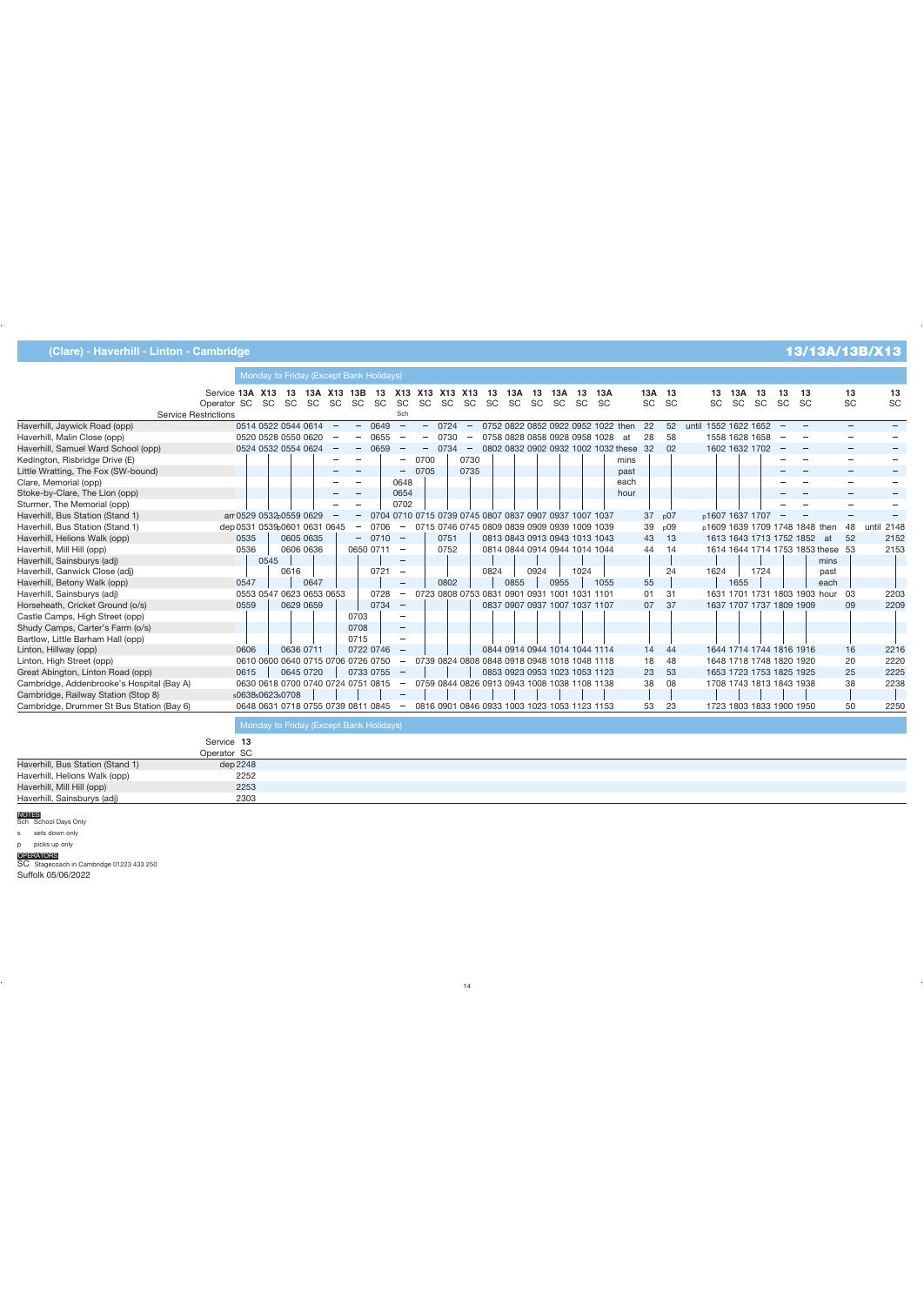|                                           |                              |           | Monday to Friday (Except Bank Holidays) |             |           |                                                        |                                 |           |            |            |           |      |                                              |           |           |                                     |           |           |                         |           |                          |           |                                   |           |            |
|-------------------------------------------|------------------------------|-----------|-----------------------------------------|-------------|-----------|--------------------------------------------------------|---------------------------------|-----------|------------|------------|-----------|------|----------------------------------------------|-----------|-----------|-------------------------------------|-----------|-----------|-------------------------|-----------|--------------------------|-----------|-----------------------------------|-----------|------------|
|                                           | Service 13A X13              |           | 13                                      | 13A X13 13B |           | 13                                                     | <b>X13</b>                      | X13       | <b>X13</b> | <b>X13</b> | 13        | 13A  |                                              | 13A       | 13        | 13A                                 |           | 13A 13    | 13                      | 13A       | 13                       | 13        | 13                                | 13        | 13         |
|                                           | Operator SC                  | <b>SC</b> | SC.<br><b>SC</b>                        | SC          | <b>SC</b> | <b>SC</b>                                              | <b>SC</b>                       | <b>SC</b> | <b>SC</b>  | SC.        | <b>SC</b> | SC.  | SC.                                          | <b>SC</b> | <b>SC</b> | <b>SC</b>                           | <b>SC</b> | <b>SC</b> | SC.                     | <b>SC</b> | <b>SC</b>                | <b>SC</b> | <b>SC</b>                         | <b>SC</b> | <b>SC</b>  |
|                                           | <b>Service Restrictions</b>  |           |                                         |             |           |                                                        | Sch                             |           |            |            |           |      |                                              |           |           |                                     |           |           |                         |           |                          |           |                                   |           |            |
| Haverhill, Jaywick Road (opp)             |                              |           | 0514 0522 0544 0614                     |             |           | 0649                                                   |                                 |           | 0724       |            |           |      |                                              |           |           | 0752 0822 0852 0922 0952 1022 then  | 22        |           | 52 until 1552 1622 1652 |           |                          |           |                                   |           |            |
| Haverhill, Malin Close (opp)              |                              |           | 0520 0528 0550 0620                     |             |           | 0655                                                   |                                 |           | 0730       |            |           |      | 0758 0828 0858 0928 0958 1028                |           |           | аt                                  | 28        | 58        |                         |           | 1558 1628 1658           |           |                                   |           |            |
| Haverhill, Samuel Ward School (opp)       |                              |           | 0524 0532 0554 0624                     |             |           | 0659                                                   |                                 |           | 0734       |            |           |      |                                              |           |           | 0802 0832 0902 0932 1002 1032 these | 32        | 02        |                         |           | 1602 1632 1702           |           |                                   |           |            |
| Kedington, Risbridge Drive (E)            |                              |           |                                         |             |           |                                                        | $\overline{\phantom{m}}$        | 0700      |            | 0730       |           |      |                                              |           |           | mins                                |           |           |                         |           |                          |           |                                   |           |            |
| Little Wratting, The Fox (SW-bound)       |                              |           |                                         |             |           |                                                        | $\qquad \qquad -$               | 0705      |            | 0735       |           |      |                                              |           |           | past                                |           |           |                         |           |                          |           |                                   |           |            |
| Clare, Memorial (opp)                     |                              |           |                                         |             |           |                                                        | 0648                            |           |            |            |           |      |                                              |           |           | each                                |           |           |                         |           |                          |           |                                   |           |            |
| Stoke-by-Clare, The Lion (opp)            |                              |           |                                         |             |           |                                                        | 0654                            |           |            |            |           |      |                                              |           |           | hour                                |           |           |                         |           |                          |           |                                   |           |            |
| Sturmer, The Memorial (opp)               |                              |           |                                         |             |           |                                                        | 0702                            |           |            |            |           |      |                                              |           |           |                                     |           |           |                         |           |                          |           |                                   |           |            |
| Haverhill, Bus Station (Stand 1)          | arr 0529 0532p0559 0629      |           |                                         |             |           | 0704 0710 0715 0739 0745 0807 0837 0907 0937 1007 1037 |                                 |           |            |            |           |      |                                              |           |           |                                     | 37        | p07       |                         |           | p1607 1637 1707          |           |                                   |           |            |
| Haverhill, Bus Station (Stand 1)          | dep 0531 0539p0601 0631 0645 |           |                                         |             |           | 0706                                                   |                                 |           |            |            |           |      | 0715 0746 0745 0809 0839 0909 0939 1009 1039 |           |           |                                     | 39        | p09       |                         |           |                          |           | p1609 1639 1709 1748 1848 then    | 48        | until 2148 |
| Haverhill, Helions Walk (opp)             | 0535                         |           | 0605 0635                               |             |           | 0710                                                   | $\hspace{0.1mm}-\hspace{0.1mm}$ |           | 0751       |            |           |      | 0813 0843 0913 0943 1013 1043                |           |           |                                     | 43        | 13        |                         |           | 1613 1643 1713 1752 1852 |           | at                                | 52        | 2152       |
| Haverhill, Mill Hill (opp)                | 0536                         |           | 0606 0636                               |             |           | 0650 0711                                              | $\hspace{0.1mm}$                |           | 0752       |            |           |      | 0814 0844 0914 0944 1014 1044                |           |           |                                     | 44        | 14        |                         |           |                          |           | 1614 1644 1714 1753 1853 these 53 |           | 2153       |
| Haverhill, Sainsburys (adj)               |                              | 0545      |                                         |             |           |                                                        |                                 |           |            |            |           |      |                                              |           |           |                                     |           |           |                         |           |                          |           | mins                              |           |            |
| Haverhill, Ganwick Close (adj)            |                              |           | 0616                                    |             |           | 0721                                                   | $\overline{\phantom{a}}$        |           |            |            | 0824      |      | 0924                                         |           | 1024      |                                     |           | 24        | 1624                    |           | 1724                     |           | past                              |           |            |
| Haverhill, Betony Walk (opp)              | 0547                         |           | 0647                                    |             |           |                                                        |                                 |           | 0802       |            |           | 0855 |                                              | 0955      |           | 1055                                | 55        |           |                         | 1655      |                          |           | each                              |           |            |
| Haverhill, Sainsburys (adj)               |                              |           | 0553 0547 0623 0653 0653                |             |           | 0728                                                   | $\overline{\phantom{0}}$        |           |            |            |           |      | 0723 0808 0753 0831 0901 0931 1001 1031 1101 |           |           |                                     | 01        | 31        |                         |           |                          |           | 1631 1701 1731 1803 1903 hour     | 03        | 2203       |
| Horseheath, Cricket Ground (o/s)          | 0559                         |           | 0629 0659                               |             |           | 0734                                                   | $\overline{\phantom{m}}$        |           |            |            |           |      | 0837 0907 0937 1007 1037 1107                |           |           |                                     | 07        | 37        |                         |           | 1637 1707 1737 1809 1909 |           |                                   | 09        | 2209       |
| Castle Camps, High Street (opp)           |                              |           |                                         |             | 0703      |                                                        | $\overline{\phantom{a}}$        |           |            |            |           |      |                                              |           |           |                                     |           |           |                         |           |                          |           |                                   |           |            |
| Shudy Camps, Carter's Farm (o/s)          |                              |           |                                         |             | 0708      |                                                        | $\hspace{0.1mm}-\hspace{0.1mm}$ |           |            |            |           |      |                                              |           |           |                                     |           |           |                         |           |                          |           |                                   |           |            |
| Bartlow, Little Barham Hall (opp)         |                              |           |                                         |             | 0715      |                                                        |                                 |           |            |            |           |      |                                              |           |           |                                     |           |           |                         |           |                          |           |                                   |           |            |
| Linton, Hillway (opp)                     | 0606                         |           | 0636 0711                               |             |           | 0722 0746                                              |                                 |           |            |            |           |      | 0844 0914 0944 1014 1044 1114                |           |           |                                     | 14        | 44        |                         |           | 1644 1714 1744 1816 1916 |           |                                   | 16        | 2216       |
| Linton, High Street (opp)                 |                              |           | 0610 0600 0640 0715 0706 0726 0750      |             |           |                                                        |                                 |           |            |            |           |      | 0739 0824 0808 0848 0918 0948 1018 1048 1118 |           |           |                                     | 18        | 48        |                         |           | 1648 1718 1748 1820 1920 |           |                                   | 20        | 2220       |
| Great Abington, Linton Road (opp)         | 0615                         |           | 0645 0720                               |             |           | 0733 0755                                              |                                 |           |            |            |           |      | 0853 0923 0953 1023 1053 1123                |           |           |                                     | 23        | 53        |                         |           | 1653 1723 1753 1825 1925 |           |                                   | 25        | 2225       |
| Cambridge, Addenbrooke's Hospital (Bay A) |                              |           | 0630 0618 0700 0740 0724 0751 0815      |             |           |                                                        |                                 |           |            |            |           |      | 0759 0844 0826 0913 0943 1008 1038 1108 1138 |           |           |                                     | 38        | 08        |                         |           | 1708 1743 1813 1843 1938 |           |                                   | 38        | 2238       |
| Cambridge, Railway Station (Stop 8)       | s0638s0623s0708              |           |                                         |             |           |                                                        |                                 |           |            |            |           |      |                                              |           |           |                                     |           |           |                         |           |                          |           |                                   |           |            |
| Cambridge, Drummer St Bus Station (Bay 6) |                              |           | 0648 0631 0718 0755 0739 0811 0845      |             |           |                                                        |                                 |           |            |            |           |      | 0816 0901 0846 0933 1003 1023 1053 1123 1153 |           |           |                                     | 53        | 23        |                         |           | 1723 1803 1833 1900 1950 |           |                                   | 50        | 2250       |

## Monday to Friday (Except Bank Holidays)

|                                  | Service 13  |  |
|----------------------------------|-------------|--|
|                                  | Operator SC |  |
| Haverhill, Bus Station (Stand 1) | dep 2248    |  |
| Haverhill, Helions Walk (opp)    | 2252        |  |
| Haverhill, Mill Hill (opp)       | 2253        |  |
| Haverhill, Sainsburys (adj)      | 2303        |  |

NOTES Sch School Days Only s sets down only

p picks up only

OPERATORS<br>SC Stagecoach in Cambridge 01223 433 250 Suffolk 05/06/2022